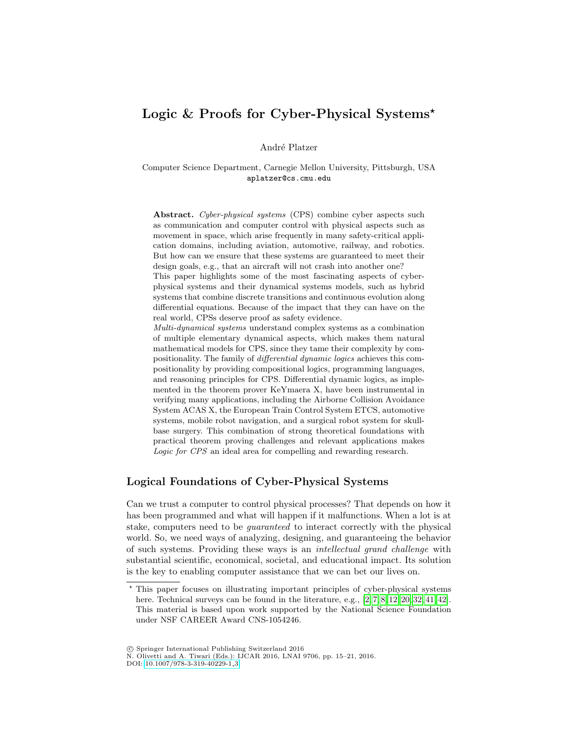## Logic & Proofs for Cyber-Physical Systems\*

André Platzer

Computer Science Department, Carnegie Mellon University, Pittsburgh, USA aplatzer@cs.cmu.edu

Abstract. Cyber-physical systems (CPS) combine cyber aspects such as communication and computer control with physical aspects such as movement in space, which arise frequently in many safety-critical application domains, including aviation, automotive, railway, and robotics. But how can we ensure that these systems are guaranteed to meet their design goals, e.g., that an aircraft will not crash into another one?

This paper highlights some of the most fascinating aspects of cyberphysical systems and their dynamical systems models, such as hybrid systems that combine discrete transitions and continuous evolution along differential equations. Because of the impact that they can have on the real world, CPSs deserve proof as safety evidence.

Multi-dynamical systems understand complex systems as a combination of multiple elementary dynamical aspects, which makes them natural mathematical models for CPS, since they tame their complexity by compositionality. The family of differential dynamic logics achieves this compositionality by providing compositional logics, programming languages, and reasoning principles for CPS. Differential dynamic logics, as implemented in the theorem prover KeYmaera X, have been instrumental in verifying many applications, including the Airborne Collision Avoidance System ACAS X, the European Train Control System ETCS, automotive systems, mobile robot navigation, and a surgical robot system for skullbase surgery. This combination of strong theoretical foundations with practical theorem proving challenges and relevant applications makes Logic for CPS an ideal area for compelling and rewarding research.

## Logical Foundations of Cyber-Physical Systems

Can we trust a computer to control physical processes? That depends on how it has been programmed and what will happen if it malfunctions. When a lot is at stake, computers need to be guaranteed to interact correctly with the physical world. So, we need ways of analyzing, designing, and guaranteeing the behavior of such systems. Providing these ways is an intellectual grand challenge with substantial scientific, economical, societal, and educational impact. Its solution is the key to enabling computer assistance that we can bet our lives on.

<sup>?</sup> This paper focuses on illustrating important principles of cyber-physical systems here. Technical surveys can be found in the literature, e.g.,  $[2, 7, 8, 12, 20, 32, 41, 42]$  $[2, 7, 8, 12, 20, 32, 41, 42]$  $[2, 7, 8, 12, 20, 32, 41, 42]$  $[2, 7, 8, 12, 20, 32, 41, 42]$  $[2, 7, 8, 12, 20, 32, 41, 42]$  $[2, 7, 8, 12, 20, 32, 41, 42]$  $[2, 7, 8, 12, 20, 32, 41, 42]$  $[2, 7, 8, 12, 20, 32, 41, 42]$ . This material is based upon work supported by the National Science Foundation under NSF CAREER Award CNS-1054246.

c Springer International Publishing Switzerland 2016 N. Olivetti and A. Tiwari (Eds.): IJCAR 2016, LNAI 9706, pp. 15–21, 2016.

DOI: [10.1007/978-3-319-40229-1](http://dx.doi.org/10.1007/978-3-319-40229-1_3) 3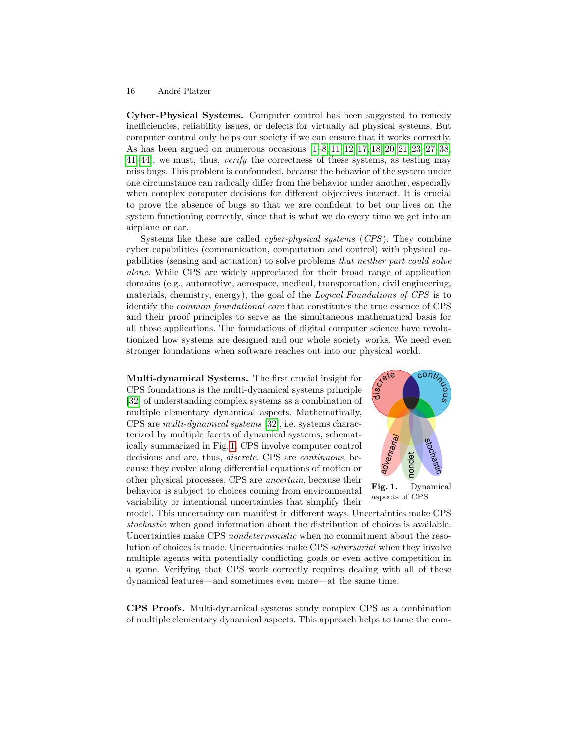## 16 André Platzer

Cyber-Physical Systems. Computer control has been suggested to remedy inefficiencies, reliability issues, or defects for virtually all physical systems. But computer control only helps our society if we can ensure that it works correctly. As has been argued on numerous occasions [\[1–](#page-4-5)[8,](#page-4-2) [11,](#page-4-6) [12,](#page-4-3) [17,](#page-4-7) [18,](#page-4-8) [20,](#page-4-4) [21,](#page-4-9) [23](#page-5-3)[–27,](#page-5-4) [38,](#page-5-5) [41–](#page-5-1)[44\]](#page-5-6), we must, thus, verify the correctness of these systems, as testing may miss bugs. This problem is confounded, because the behavior of the system under one circumstance can radically differ from the behavior under another, especially when complex computer decisions for different objectives interact. It is crucial to prove the absence of bugs so that we are confident to bet our lives on the system functioning correctly, since that is what we do every time we get into an airplane or car.

Systems like these are called cyber-physical systems (CPS). They combine cyber capabilities (communication, computation and control) with physical capabilities (sensing and actuation) to solve problems that neither part could solve alone. While CPS are widely appreciated for their broad range of application domains (e.g., automotive, aerospace, medical, transportation, civil engineering, materials, chemistry, energy), the goal of the Logical Foundations of CPS is to identify the common foundational core that constitutes the true essence of CPS and their proof principles to serve as the simultaneous mathematical basis for all those applications. The foundations of digital computer science have revolutionized how systems are designed and our whole society works. We need even stronger foundations when software reaches out into our physical world.

Multi-dynamical Systems. The first crucial insight for CPS foundations is the multi-dynamical systems principle [\[32\]](#page-5-0) of understanding complex systems as a combination of multiple elementary dynamical aspects. Mathematically, CPS are multi-dynamical systems [\[32\]](#page-5-0), i.e. systems characterized by multiple facets of dynamical systems, schematically summarized in Fig. [1.](#page-1-0) CPS involve computer control decisions and are, thus, discrete. CPS are continuous, because they evolve along differential equations of motion or other physical processes. CPS are uncertain, because their behavior is subject to choices coming from environmental variability or intentional uncertainties that simplify their

<span id="page-1-0"></span>

Fig. 1. Dynamical aspects of CPS

model. This uncertainty can manifest in different ways. Uncertainties make CPS stochastic when good information about the distribution of choices is available. Uncertainties make CPS nondeterministic when no commitment about the resolution of choices is made. Uncertainties make CPS adversarial when they involve multiple agents with potentially conflicting goals or even active competition in a game. Verifying that CPS work correctly requires dealing with all of these dynamical features—and sometimes even more—at the same time.

CPS Proofs. Multi-dynamical systems study complex CPS as a combination of multiple elementary dynamical aspects. This approach helps to tame the com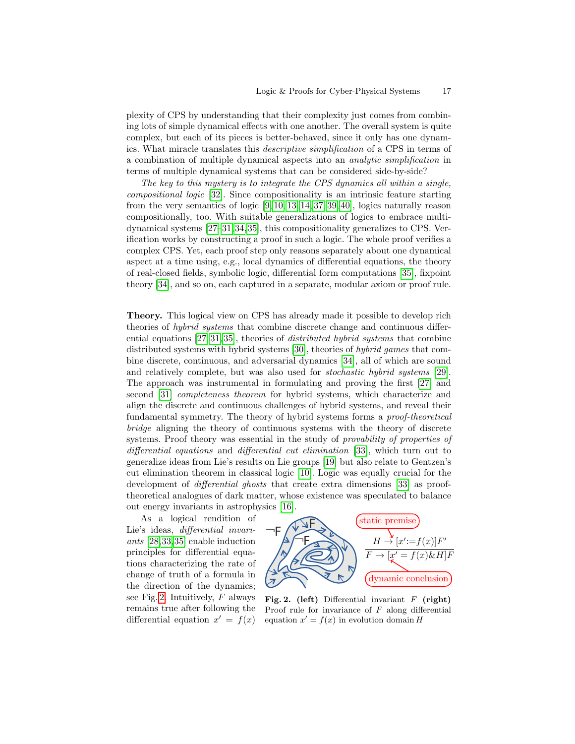plexity of CPS by understanding that their complexity just comes from combining lots of simple dynamical effects with one another. The overall system is quite complex, but each of its pieces is better-behaved, since it only has one dynamics. What miracle translates this descriptive simplification of a CPS in terms of a combination of multiple dynamical aspects into an analytic simplification in terms of multiple dynamical systems that can be considered side-by-side?

The key to this mystery is to integrate the CPS dynamics all within a single, compositional logic [\[32\]](#page-5-0). Since compositionality is an intrinsic feature starting from the very semantics of logic [\[9,](#page-4-10) [10,](#page-4-11) [13,](#page-4-12) [14,](#page-4-13) [37,](#page-5-7) [39,](#page-5-8) [40\]](#page-5-9), logics naturally reason compositionally, too. With suitable generalizations of logics to embrace multidynamical systems [\[27–](#page-5-4)[31,](#page-5-10)[34,](#page-5-11)[35\]](#page-5-12), this compositionality generalizes to CPS. Verification works by constructing a proof in such a logic. The whole proof verifies a complex CPS. Yet, each proof step only reasons separately about one dynamical aspect at a time using, e.g., local dynamics of differential equations, the theory of real-closed fields, symbolic logic, differential form computations [\[35\]](#page-5-12), fixpoint theory [\[34\]](#page-5-11), and so on, each captured in a separate, modular axiom or proof rule.

Theory. This logical view on CPS has already made it possible to develop rich theories of hybrid systems that combine discrete change and continuous differential equations [\[27,](#page-5-4) [31,](#page-5-10) [35\]](#page-5-12), theories of distributed hybrid systems that combine distributed systems with hybrid systems [\[30\]](#page-5-13), theories of hybrid games that combine discrete, continuous, and adversarial dynamics [\[34\]](#page-5-11), all of which are sound and relatively complete, but was also used for stochastic hybrid systems [\[29\]](#page-5-14). The approach was instrumental in formulating and proving the first [\[27\]](#page-5-4) and second [\[31\]](#page-5-10) completeness theorem for hybrid systems, which characterize and align the discrete and continuous challenges of hybrid systems, and reveal their fundamental symmetry. The theory of hybrid systems forms a proof-theoretical bridge aligning the theory of continuous systems with the theory of discrete systems. Proof theory was essential in the study of *provability of properties of* differential equations and differential cut elimination [\[33\]](#page-5-15), which turn out to generalize ideas from Lie's results on Lie groups [\[19\]](#page-4-14) but also relate to Gentzen's cut elimination theorem in classical logic [\[10\]](#page-4-11). Logic was equally crucial for the development of *differential ghosts* that create extra dimensions [\[33\]](#page-5-15) as prooftheoretical analogues of dark matter, whose existence was speculated to balance out energy invariants in astrophysics [\[16\]](#page-4-15).

As a logical rendition of Lie's ideas, differential invariants [\[28,](#page-5-16)[33,](#page-5-15)[35\]](#page-5-12) enable induction principles for differential equations characterizing the rate of change of truth of a formula in the direction of the dynamics; see Fig. [2.](#page-2-0) Intuitively,  $F$  always remains true after following the differential equation  $x' = f(x)$ 



<span id="page-2-0"></span>Fig. 2. (left) Differential invariant  $F$  (right) Proof rule for invariance of  $F$  along differential equation  $x' = f(x)$  in evolution domain H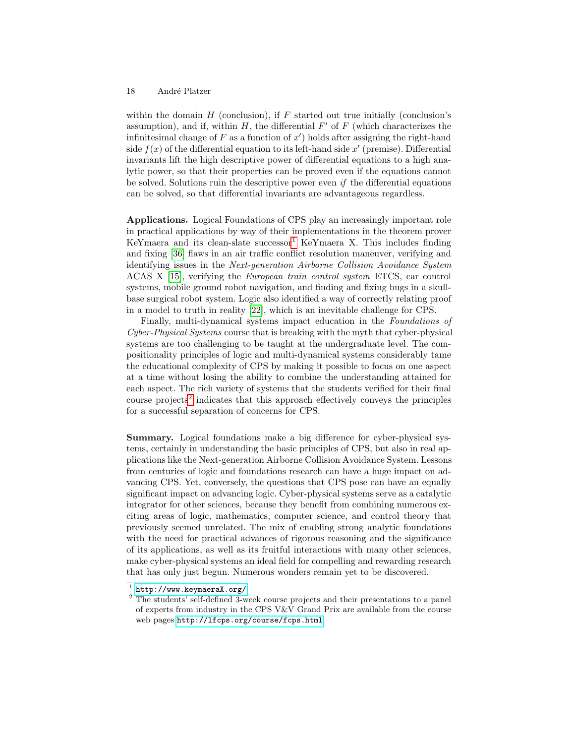within the domain  $H$  (conclusion), if  $F$  started out true initially (conclusion's assumption), and if, within  $H$ , the differential  $F'$  of  $F$  (which characterizes the infinitesimal change of  $F$  as a function of  $x'$ ) holds after assigning the right-hand side  $f(x)$  of the differential equation to its left-hand side  $x'$  (premise). Differential invariants lift the high descriptive power of differential equations to a high analytic power, so that their properties can be proved even if the equations cannot be solved. Solutions ruin the descriptive power even  $if$  the differential equations can be solved, so that differential invariants are advantageous regardless.

Applications. Logical Foundations of CPS play an increasingly important role in practical applications by way of their implementations in the theorem prover  $KeY$ maera and its clean-slate successor<sup>[1](#page-3-0)</sup> KeYmaera X. This includes finding and fixing [\[36\]](#page-5-17) flaws in an air traffic conflict resolution maneuver, verifying and identifying issues in the Next-generation Airborne Collision Avoidance System ACAS X [\[15\]](#page-4-16), verifying the European train control system ETCS, car control systems, mobile ground robot navigation, and finding and fixing bugs in a skullbase surgical robot system. Logic also identified a way of correctly relating proof in a model to truth in reality [\[22\]](#page-5-18), which is an inevitable challenge for CPS.

Finally, multi-dynamical systems impact education in the Foundations of Cyber-Physical Systems course that is breaking with the myth that cyber-physical systems are too challenging to be taught at the undergraduate level. The compositionality principles of logic and multi-dynamical systems considerably tame the educational complexity of CPS by making it possible to focus on one aspect at a time without losing the ability to combine the understanding attained for each aspect. The rich variety of systems that the students verified for their final course projects<sup>[2](#page-3-1)</sup> indicates that this approach effectively conveys the principles for a successful separation of concerns for CPS.

Summary. Logical foundations make a big difference for cyber-physical systems, certainly in understanding the basic principles of CPS, but also in real applications like the Next-generation Airborne Collision Avoidance System. Lessons from centuries of logic and foundations research can have a huge impact on advancing CPS. Yet, conversely, the questions that CPS pose can have an equally significant impact on advancing logic. Cyber-physical systems serve as a catalytic integrator for other sciences, because they benefit from combining numerous exciting areas of logic, mathematics, computer science, and control theory that previously seemed unrelated. The mix of enabling strong analytic foundations with the need for practical advances of rigorous reasoning and the significance of its applications, as well as its fruitful interactions with many other sciences, make cyber-physical systems an ideal field for compelling and rewarding research that has only just begun. Numerous wonders remain yet to be discovered.

<span id="page-3-0"></span> $1$  <http://www.keymaeraX.org/>

<span id="page-3-1"></span><sup>2</sup> The students' self-defined 3-week course projects and their presentations to a panel of experts from industry in the CPS V&V Grand Prix are available from the course web pages <http://lfcps.org/course/fcps.html>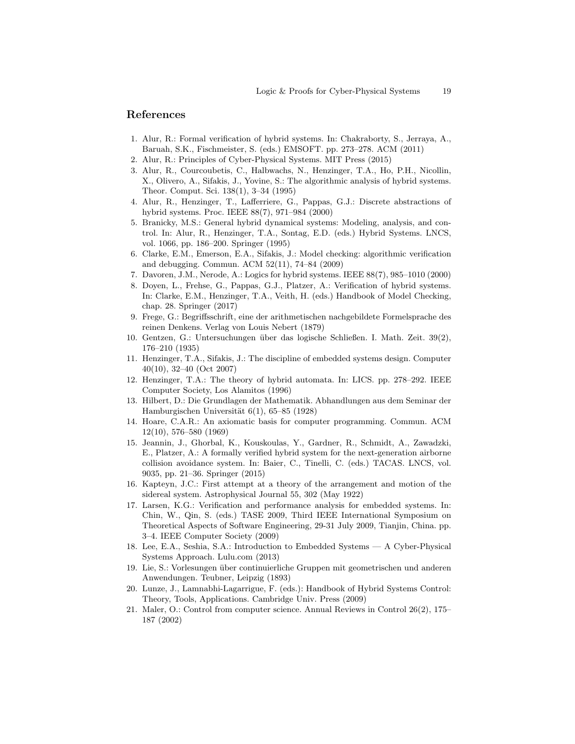## References

- <span id="page-4-5"></span>1. Alur, R.: Formal verification of hybrid systems. In: Chakraborty, S., Jerraya, A., Baruah, S.K., Fischmeister, S. (eds.) EMSOFT. pp. 273–278. ACM (2011)
- <span id="page-4-0"></span>2. Alur, R.: Principles of Cyber-Physical Systems. MIT Press (2015)
- 3. Alur, R., Courcoubetis, C., Halbwachs, N., Henzinger, T.A., Ho, P.H., Nicollin, X., Olivero, A., Sifakis, J., Yovine, S.: The algorithmic analysis of hybrid systems. Theor. Comput. Sci. 138(1), 3–34 (1995)
- 4. Alur, R., Henzinger, T., Lafferriere, G., Pappas, G.J.: Discrete abstractions of hybrid systems. Proc. IEEE 88(7), 971–984 (2000)
- 5. Branicky, M.S.: General hybrid dynamical systems: Modeling, analysis, and control. In: Alur, R., Henzinger, T.A., Sontag, E.D. (eds.) Hybrid Systems. LNCS, vol. 1066, pp. 186–200. Springer (1995)
- 6. Clarke, E.M., Emerson, E.A., Sifakis, J.: Model checking: algorithmic verification and debugging. Commun. ACM 52(11), 74–84 (2009)
- <span id="page-4-1"></span>7. Davoren, J.M., Nerode, A.: Logics for hybrid systems. IEEE 88(7), 985–1010 (2000)
- <span id="page-4-2"></span>8. Doyen, L., Frehse, G., Pappas, G.J., Platzer, A.: Verification of hybrid systems. In: Clarke, E.M., Henzinger, T.A., Veith, H. (eds.) Handbook of Model Checking, chap. 28. Springer (2017)
- <span id="page-4-10"></span>9. Frege, G.: Begriffsschrift, eine der arithmetischen nachgebildete Formelsprache des reinen Denkens. Verlag von Louis Nebert (1879)
- <span id="page-4-11"></span>10. Gentzen, G.: Untersuchungen ¨uber das logische Schließen. I. Math. Zeit. 39(2), 176–210 (1935)
- <span id="page-4-6"></span>11. Henzinger, T.A., Sifakis, J.: The discipline of embedded systems design. Computer 40(10), 32–40 (Oct 2007)
- <span id="page-4-3"></span>12. Henzinger, T.A.: The theory of hybrid automata. In: LICS. pp. 278–292. IEEE Computer Society, Los Alamitos (1996)
- <span id="page-4-12"></span>13. Hilbert, D.: Die Grundlagen der Mathematik. Abhandlungen aus dem Seminar der Hamburgischen Universität  $6(1)$ , 65–85 (1928)
- <span id="page-4-13"></span>14. Hoare, C.A.R.: An axiomatic basis for computer programming. Commun. ACM 12(10), 576–580 (1969)
- <span id="page-4-16"></span>15. Jeannin, J., Ghorbal, K., Kouskoulas, Y., Gardner, R., Schmidt, A., Zawadzki, E., Platzer, A.: A formally verified hybrid system for the next-generation airborne collision avoidance system. In: Baier, C., Tinelli, C. (eds.) TACAS. LNCS, vol. 9035, pp. 21–36. Springer (2015)
- <span id="page-4-15"></span>16. Kapteyn, J.C.: First attempt at a theory of the arrangement and motion of the sidereal system. Astrophysical Journal 55, 302 (May 1922)
- <span id="page-4-7"></span>17. Larsen, K.G.: Verification and performance analysis for embedded systems. In: Chin, W., Qin, S. (eds.) TASE 2009, Third IEEE International Symposium on Theoretical Aspects of Software Engineering, 29-31 July 2009, Tianjin, China. pp. 3–4. IEEE Computer Society (2009)
- <span id="page-4-8"></span>18. Lee, E.A., Seshia, S.A.: Introduction to Embedded Systems — A Cyber-Physical Systems Approach. Lulu.com (2013)
- <span id="page-4-14"></span>19. Lie, S.: Vorlesungen ¨uber continuierliche Gruppen mit geometrischen und anderen Anwendungen. Teubner, Leipzig (1893)
- <span id="page-4-4"></span>20. Lunze, J., Lamnabhi-Lagarrigue, F. (eds.): Handbook of Hybrid Systems Control: Theory, Tools, Applications. Cambridge Univ. Press (2009)
- <span id="page-4-9"></span>21. Maler, O.: Control from computer science. Annual Reviews in Control 26(2), 175– 187 (2002)